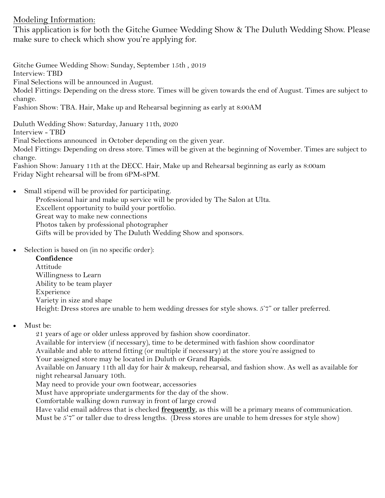## Modeling Information:

This application is for both the Gitche Gumee Wedding Show & The Duluth Wedding Show. Please make sure to check which show you're applying for.

Gitche Gumee Wedding Show: Sunday, September 15th , 2019 Interview: TBD Final Selections will be announced in August. Model Fittings: Depending on the dress store. Times will be given towards the end of August. Times are subject to change. Fashion Show: TBA. Hair, Make up and Rehearsal beginning as early at 8:00AM Duluth Wedding Show: Saturday, January 11th, 2020

Interview - TBD Final Selections announced in October depending on the given year. Model Fittings: Depending on dress store. Times will be given at the beginning of November. Times are subject to change.

Fashion Show: January 11th at the DECC. Hair, Make up and Rehearsal beginning as early as 8:00am Friday Night rehearsal will be from 6PM-8PM.

Small stipend will be provided for participating.

Professional hair and make up service will be provided by The Salon at Ulta. Excellent opportunity to build your portfolio. Great way to make new connections Photos taken by professional photographer Gifts will be provided by The Duluth Wedding Show and sponsors.

Selection is based on (in no specific order):

**Confidence** Attitude Willingness to Learn Ability to be team player Experience Variety in size and shape Height: Dress stores are unable to hem wedding dresses for style shows. 5'7" or taller preferred.

Must be:

21 years of age or older unless approved by fashion show coordinator.

Available for interview (if necessary), time to be determined with fashion show coordinator Available and able to attend fitting (or multiple if necessary) at the store you're assigned to

Your assigned store may be located in Duluth or Grand Rapids.

Available on January 11th all day for hair & makeup, rehearsal, and fashion show. As well as available for night rehearsal January 10th.

May need to provide your own footwear, accessories

Must have appropriate undergarments for the day of the show.

Comfortable walking down runway in front of large crowd

Have valid email address that is checked **frequently**, as this will be a primary means of communication. Must be 5'7" or taller due to dress lengths. (Dress stores are unable to hem dresses for style show)